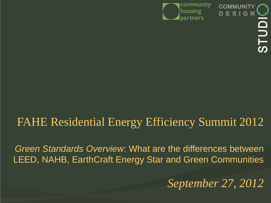

 $E S I$ 

## FAHE Residential Energy Efficiency Summit 2012

*Green Standards Overview*: What are the differences between LEED, NAHB, EarthCraft Energy Star and Green Communities

*September 27, 2012*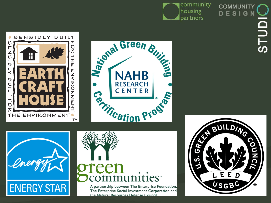







## **ENERGY STAR**



A partnership between The Enterprise Foundation, The Enterprise Social Investment Corporation and the Natural Resources Defense Council



**COMMUNIT** 

G

i<br>T

—<br>တ

E S I

D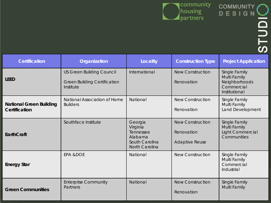

| <b>Certification</b>                                                | Organization                                                                         | Locality      | <b>Construction Type</b>                                       | <b>Project Application</b>                                                    |
|---------------------------------------------------------------------|--------------------------------------------------------------------------------------|---------------|----------------------------------------------------------------|-------------------------------------------------------------------------------|
| <b>LEED</b>                                                         | <b>US Green Building Council</b><br><b>Green Building Certification</b><br>Institute | International | <b>New Construction</b><br>Renovation                          | Single Family<br>Multi Family<br>Neighborhoods<br>Commercial<br>Institutional |
| <b>National Green Building</b><br>Certification                     | National Association of Home<br><b>Builders</b>                                      | National      | <b>New Construction</b><br>Renovation                          | Single Family<br>Multi Family<br>Land Development                             |
| EarthCraft                                                          | Southface Institute                                                                  |               | <b>New Construction</b><br>Renovation<br><b>Adaptive Reuse</b> | Single Family<br>Multi Family<br><b>Light Commercial</b><br>Communities       |
| <b>Energy Star</b>                                                  | <b>EPA &amp;DOE</b>                                                                  | National      | <b>New Construction</b>                                        | Single Family<br>Multi Family<br>Commercial<br>Industrial                     |
| <b>Enterprise Community</b><br>Partners<br><b>Green Communities</b> |                                                                                      | National      | <b>New Construction</b><br>Renovation                          | Single Family<br>Multi Family                                                 |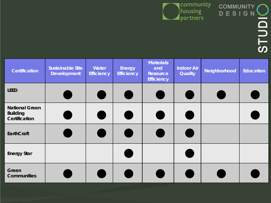

| <b>Certification</b>                                             | <b>Sustainable Site</b><br><b>Development</b> | Water<br><b>Efficiency</b> | <b>Energy</b><br><b>Efficiency</b> | <b>Materials</b><br>and<br>Resource<br><b>Efficiency</b> | <b>Indoor Air</b><br><b>Quality</b> | Neighborhood | <b>Education</b> |
|------------------------------------------------------------------|-----------------------------------------------|----------------------------|------------------------------------|----------------------------------------------------------|-------------------------------------|--------------|------------------|
| <b>LEED</b>                                                      |                                               |                            |                                    |                                                          |                                     |              |                  |
| <b>National Green</b><br><b>Building</b><br><b>Certification</b> |                                               |                            |                                    |                                                          |                                     |              |                  |
| EarthCraft                                                       |                                               |                            |                                    |                                                          |                                     |              |                  |
| <b>Energy Star</b>                                               |                                               |                            |                                    |                                                          |                                     |              |                  |
| Green<br><b>Communities</b>                                      |                                               |                            |                                    |                                                          |                                     |              |                  |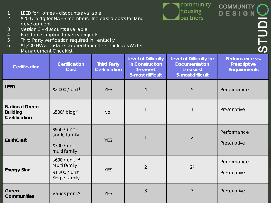

|  | LEED for Homes - discounts available |  |
|--|--------------------------------------|--|
|  |                                      |  |

- 2 \$200 / bldg for NAHB members. Increased costs for land development
- 3 Version 3 discounts available
- 4 Random sampling to verify projects
- 5 Third Party verification required in Kentucky
- 6 \$1,400 HVAC installer accreditation fee. Includes Water Management Checklist

| managomom chocmol                                         |                                                                                 |                                            |                                                                                |                                                                                  |                                                               |
|-----------------------------------------------------------|---------------------------------------------------------------------------------|--------------------------------------------|--------------------------------------------------------------------------------|----------------------------------------------------------------------------------|---------------------------------------------------------------|
| <b>Certification</b>                                      | <b>Certification</b><br>Cost                                                    | <b>Third Party</b><br><b>Certification</b> | <b>Level of Difficulty</b><br>in Construction<br>1-easiest<br>5-most difficult | Level of Difficulty for<br><b>Documentation</b><br>1-easiest<br>5-most difficult | Performance vs.<br><b>Prescriptive</b><br><b>Requirements</b> |
| <b>LEED</b>                                               | \$2,000 / unit <sup>1</sup>                                                     | <b>YES</b>                                 | $\overline{4}$                                                                 | 5                                                                                | Performance                                                   |
| <b>National Green</b><br><b>Building</b><br>Certification | \$500/ bldg <sup>2</sup>                                                        | No <sup>5</sup>                            | $\mathbf{1}$                                                                   |                                                                                  | Prescriptive                                                  |
| EarthCraft                                                | \$950 / unit -<br>single family<br>\$300 / unit -<br>multi family               | <b>YES</b>                                 | $\mathbf{1}$                                                                   | $\overline{2}$                                                                   | Performance<br>Prescriptive                                   |
| <b>Energy Star</b>                                        | \$600 / unit <sup>3, 4</sup><br>Multi family<br>\$1,200 / unit<br>Single family | <b>YES</b>                                 | $\overline{2}$                                                                 | 2 <sup>6</sup>                                                                   | Performance<br>Prescriptive                                   |
| Green<br><b>Communities</b>                               | Varies per TA                                                                   | <b>YES</b>                                 | 3                                                                              | 3                                                                                | Prescriptive                                                  |